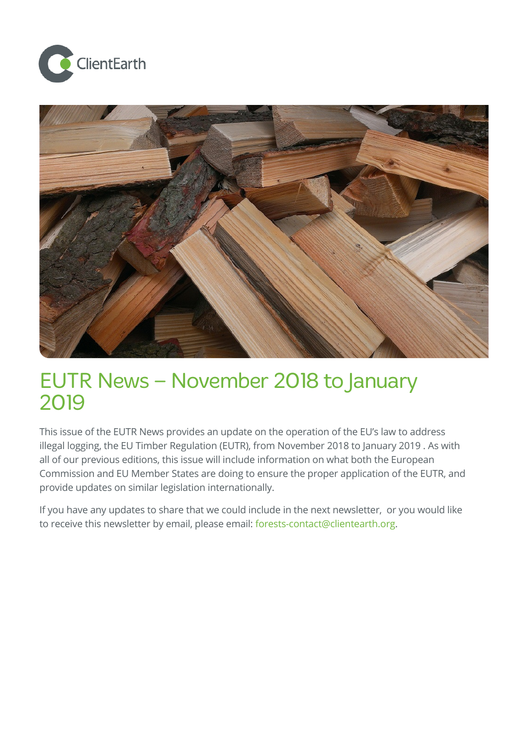



# EUTR News – November 2018 to January 2019

This issue of the EUTR News provides an update on the operation of the EU's law to address illegal logging, the EU Timber Regulation (EUTR), from November 2018 to January 2019 . As with all of our previous editions, this issue will include information on what both the European Commission and EU Member States are doing to ensure the proper application of the EUTR, and provide updates on similar legislation internationally.

If you have any updates to share that we could include in the next newsletter, or you would like to receive this newsletter by email, please email: [forests-contact@clientearth.org](mailto:forests-contact@clientearth.org).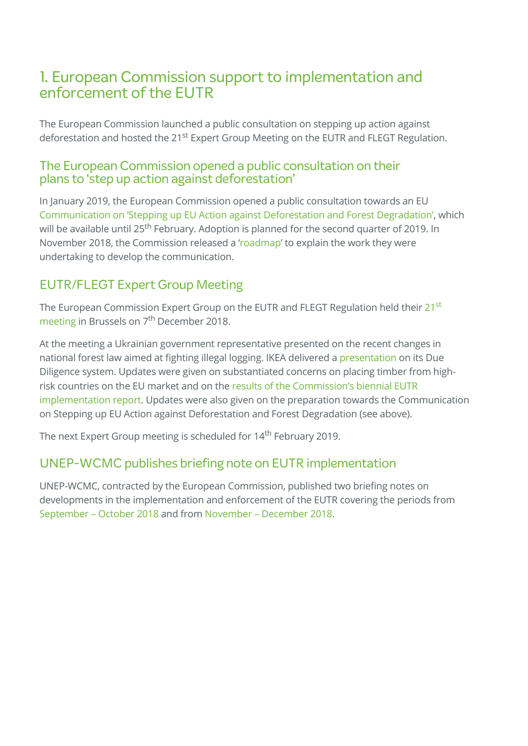## 1. European Commission support to implementation and enforcement of the EUTR

The European Commission launched a public consultation on stepping up action against deforestation and hosted the 21<sup>st</sup> Expert Group Meeting on the EUTR and FLEGT Regulation.

#### The European Commission opened a public consultation on their plans to 'step up action against deforestation'

In January 2019, the European Commission opened a public consultation towards an EU [Communication](https://ec.europa.eu/info/law/better-regulation/initiatives/ares-2018-6516782/public-consultation_en) on 'Stepping up EU Action against Deforestation and Forest Degradation', which will be available until 25<sup>th</sup> February. Adoption is planned for the second quarter of 2019. In November 2018, the Commission released a '[roadmap](https://ec.europa.eu/info/law/better-regulation/initiatives/ares-2018-6516782_en)' to explain the work they were undertaking to develop the communication.

## EUTR/FLEGT Expert Group Meeting

The European [Commission](http://ec.europa.eu/transparency/regexpert/index.cfm?do=groupDetail.groupMeetingDoc&docid=26505) Expert Group on the EUTR and FLEGT Regulation held their 21<sup>st</sup> meeting in Brussels on 7<sup>th</sup> December 2018.

At the meeting a Ukrainian government representative presented on the recent changes in national forest law aimed at fighting illegal logging. IKEA delivered a [presentation](http://ec.europa.eu/transparency/regexpert/index.cfm?do=groupDetail.groupMeetingDoc&docid=25128) on its Due Diligence system. Updates were given on substantiated concerns on placing timber from highrisk countries on the EU market and on the results of the Commission's biennial EUTR [implementation](http://ec.europa.eu/transparency/regexpert/index.cfm?do=groupDetail.groupMeetingDoc&docid=25129) report. Updates were also given on the preparation towards the Communication on Stepping up EU Action against Deforestation and Forest Degradation (see above).

The next Expert Group meeting is scheduled for 14<sup>th</sup> February 2019.

## UNEP-WCMC publishes briefing note on EUTR implementation

UNEP-WCMC, contracted by the European Commission, published two briefing notes on developments in the implementation and enforcement of the EUTR covering the periods from [September](https://www.unep-wcmc.org/system/comfy/cms/files/files/000/001/410/original/Briefing_note_Sept_-_Oct_2018_Public.pdf) – October 2018 and from [November](http://ec.europa.eu/environment/forests/pdf/Briefing_note_nov_dec_2018.pdf) – December 2018.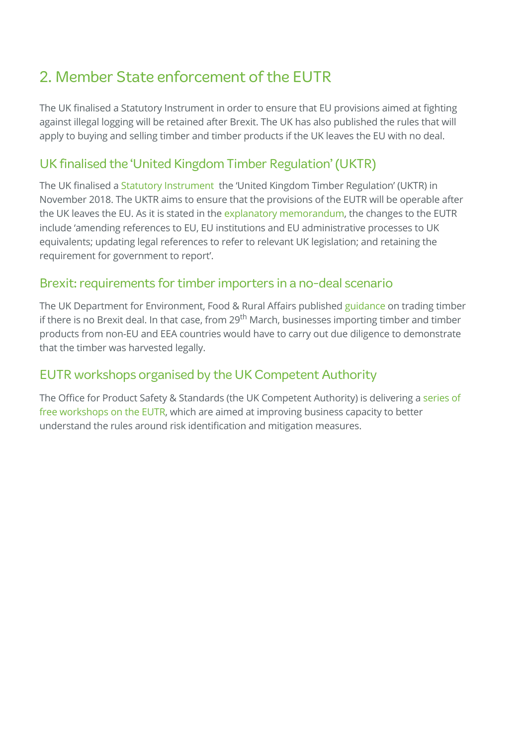## 2. Member State enforcement of the EUTR

The UK finalised a Statutory Instrument in order to ensure that EU provisions aimed at fighting against illegal logging will be retained after Brexit. The UK has also published the rules that will apply to buying and selling timber and timber products if the UK leaves the EU with no deal.

## UK finalised the 'United Kingdom Timber Regulation'(UKTR)

The UK finalised a Statutory [Instrument](http://www.legislation.gov.uk/uksi/2018/1025/introduction/made) the 'United Kingdom Timber Regulation' (UKTR) in November 2018. The UKTR aims to ensure that the provisions of the EUTR will be operable after the UK leaves the EU. As it is stated in the explanatory [memorandum,](http://www.legislation.gov.uk/uksi/2018/1025/memorandum/contents) the changes to the EUTR include 'amending references to EU, EU institutions and EU administrative processes to UK equivalents; updating legal references to refer to relevant UK legislation; and retaining the requirement for government to report'.

## Brexit: requirements for timber importers in a no-deal scenario

The UK Department for Environment, Food & Rural Affairs published [guidance](https://www.gov.uk/guidance/trading-timber-imports-and-exports-if-theres-no-brexit-deal) on trading timber if there is no Brexit deal. In that case, from 29<sup>th</sup> March, businesses importing timber and timber products from non-EU and EEA countries would have to carry out due diligence to demonstrate that the timber was harvested legally.

## EUTR workshops organised by the UK Competent Authority

The Office for Product Safety & Standards (the UK [Competent](https://www.nepcon.org/newsroom/timber-regulation-risk-assessment-and-mitigation-workshops-2019) Authority) is delivering a series of free workshops on the EUTR, which are aimed at improving business capacity to better understand the rules around risk identification and mitigation measures.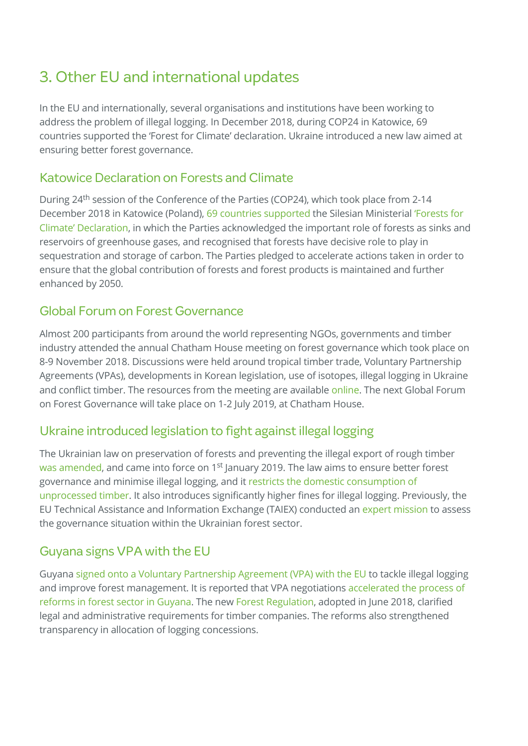## 3. Other EU and international updates

In the EU and internationally, several organisations and institutions have been working to address the problem of illegal logging. In December 2018, during COP24 in Katowice, 69 countries supported the 'Forest for Climate' declaration. Ukraine introduced a new law aimed at ensuring better forest governance.

## Katowice Declaration on Forests and Climate

During 24<sup>th</sup> session of the Conference of the Parties (COP24), which took place from 2-14 December 2018 in Katowice (Poland), 69 countries [supported](https://cop24.gov.pl/fileadmin/user_upload/files/Forest_for_climate_declaration_list_of_countries_supporting_declaration.pdf) the Silesian Ministerial 'Forests for Climate' Declaration, in which the Parties [acknowledged](https://cop24.gov.pl/fileadmin/user_upload/Ministerial_Katowice_Declaration_on_Forests_for_Climate_OFFICIAL_ENG.pdf) the important role of forests as sinks and reservoirs of greenhouse gases, and recognised that forests have decisive role to play in sequestration and storage of carbon. The Parties pledged to accelerate actions taken in order to ensure that the global contribution of forests and forest products is maintained and further enhanced by 2050.

## Global Forum on Forest Governance

Almost 200 participants from around the world representing NGOs, governments and timber industry attended the annual Chatham House meeting on forest governance which took place on 8-9 November 2018. Discussions were held around tropical timber trade, Voluntary Partnership Agreements (VPAs), developments in Korean legislation, use of isotopes, illegal logging in Ukraine and conflict timber. The resources from the meeting are available [online](https://www.illegal-logging.info/content/28th-global-forum-forest-governance?utm_source=Chatham%20House). The next Global Forum on Forest Governance will take place on 1-2 July 2019, at Chatham House.

## Ukraine introduced legislation to fight against illegal logging

The Ukrainian law on preservation of forests and preventing the illegal export of rough timber was [amended,](https://www.ukrinform.net/rubric-economy/2609096-new-measures-to-prevent-illegal-logging-come-into-force-on-january-1.html) and came into force on 1<sup>st</sup> January 2019. The law aims to ensure better forest governance and minimise illegal logging, and it restricts the domestic [consumption](http://ec.europa.eu/transparency/regexpert/index.cfm?do=groupDetail.groupMeetingDoc&docid=26505) of unprocessed timber. It also introduces significantly higher fines for illegal logging. Previously, the EU Technical Assistance and Information Exchange (TAIEX) conducted an expert [mission](https://ec.europa.eu/neighbourhood-enlargement/sites/near/files/eu_taiex_mission_report_january_2018_public.pdf) to assess the governance situation within the Ukrainian forest sector.

## Guyana signsVPA with the EU

Guyana signed onto a Voluntary [Partnership](https://www.illegal-logging.info/content/guyana-signs-forest-management-agreement-eu) Agreement (VPA) with the EU to tackle illegal logging and improve forest [management.](http://www.euflegt.efi.int/en/publications/vpa-linked-reforms-bring-legal-clarity-to-guyana-s-forest-sector) It is reported that VPA negotiations accelerated the process of reforms in forest sector in Guyana. The new Forest [Regulation](https://www.forestry.gov.gy/wp-content/uploads/2018/07/Forests-Regulations-2018.pdf), adopted in June 2018, clarified legal and administrative requirements for timber companies. The reforms also strengthened transparency in allocation of logging concessions.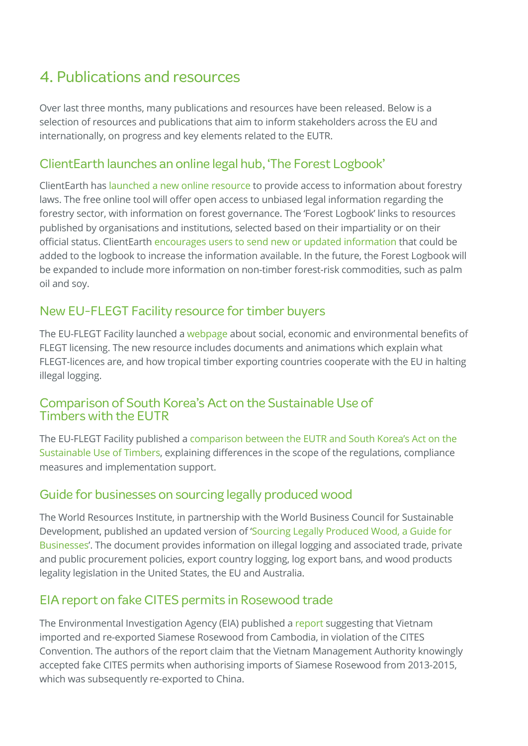## 4. Publications and resources

Over last three months, many publications and resources have been released. Below is a selection of resources and publications that aim to inform stakeholders across the EU and internationally, on progress and key elements related to the EUTR.

## ClientEarth launches an online legal hub, 'The Forest Logbook'

ClientEarth has [launched](https://logbook.clientearth.org/) a new online resource to provide access to information about forestry laws. The free online tool will offer open access to unbiased legal information regarding the forestry sector, with information on forest governance. The 'Forest Logbook' links to resources published by organisations and institutions, selected based on their impartiality or on their official status. ClientEarth encourages users to send new or updated [information](mailto:forests-contact@clientearth.org) that could be added to the logbook to increase the information available. In the future, the Forest Logbook will be expanded to include more information on non-timber forest-risk commodities, such as palm oil and soy.

## New EU-FLEGT Facility resource for timber buyers

The EU-FLEGT Facility launched a [webpage](https://timberbuyers.flegtlicence.org/) about social, economic and environmental benefits of FLEGT licensing. The new resource includes documents and animations which explain what FLEGT-licences are, and how tropical timber exporting countries cooperate with the EU in halting illegal logging.

#### Comparison of South Korea's Act on the Sustainable Use of Timbers with the EUTR

The EU-FLEGT Facility published a [comparison](http://www.euflegt.efi.int/publications/comparing-south-korea-s-act-on-the-sustainable-use-of-timbers-and-the-eutr) between the EUTR and South Korea's Act on the Sustainable Use of Timbers, explaining differences in the scope of the regulations, compliance measures and implementation support.

#### Guide for businesses on sourcing legally produced wood

The World Resources Institute, in partnership with the World Business Council for Sustainable [Development,](https://www.illegal-logging.info/sites/files/chlogging/Legality%20Guide_FY18_WRI_lowres.pdf) published an updated version of 'Sourcing Legally Produced Wood, a Guide for Businesses'. The document provides information on illegal logging and associated trade, private and public procurement policies, export country logging, log export bans, and wood products legality legislation in the United States, the EU and Australia.

#### EIA report on fake CITES permits in Rosewood trade

The Environmental Investigation Agency (EIA) published a [report](https://eia-international.org/wp-content/uploads/Vietnam-in-Violation-FINAL.pdf) suggesting that Vietnam imported and re-exported Siamese Rosewood from Cambodia, in violation of the CITES Convention. The authors of the report claim that the Vietnam Management Authority knowingly accepted fake CITES permits when authorising imports of Siamese Rosewood from 2013-2015, which was subsequently re-exported to China.